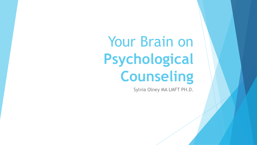Your Brain on **Psychological Counseling**

Sylvia Olney MA LMFT PH.D.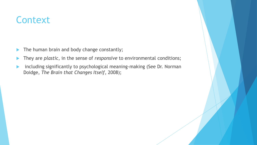## **Context**

- The human brain and body change constantly;
- **They are plastic, in the sense of** *responsive* to environmental conditions;
- including significantly to psychological meaning-making (See Dr. Norman Doidge, *The Brain that Changes Itself*, 2008);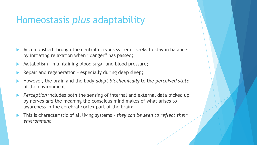### Homeostasis *plus* adaptability

- Accomplished through the central nervous system seeks to stay in balance by initiating relaxation when "danger" has passed;
- Metabolism maintaining blood sugar and blood pressure;
- Repair and regeneration especially during deep sleep;
- However, the brain and the body *adapt biochemically* to the *perceived state* of the environment;
- *Perception* includes both the sensing of internal and external data picked up by nerves *and* the meaning the conscious mind makes of what arises to awareness in the cerebral cortex part of the brain;
- This is characteristic of all living systems *they can be seen to reflect their environment*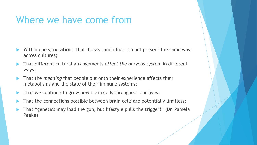#### Where we have come from

- Within one generation: that disease and illness do not present the same ways across cultures;
- That different cultural arrangements *affect the nervous system* in different ways;
- That the *meaning* that people put onto their experience affects their metabolisms and the state of their immune systems;
- That we continue to grow new brain cells throughout our lives;
- That the connections possible between brain cells are potentially limitless;
- That "genetics may load the gun, but lifestyle pulls the trigger!" (Dr. Pamela Peeke)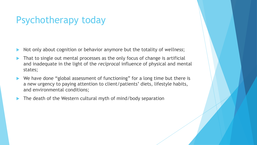# Psychotherapy today

- Not only about cognition or behavior anymore but the totality of *wellness*;
- That to single out mental processes as the only focus of change is artificial and inadequate in the light of the *reciprocal* influence of physical and mental states;
- ▶ We have done "global assessment of functioning" for a long time but there is a new urgency to paying attention to client/patients' diets, lifestyle habits, and environmental conditions;
- The death of the Western cultural myth of mind/body separation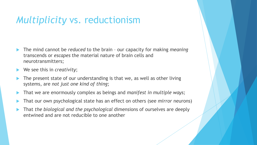## *Multiplicity* vs. reductionism

- The mind cannot be *reduced* to the brain our capacity for making *meaning* transcends or *escapes* the material nature of brain cells and neurotransmitters;
- We see this in *creativity*;
- The present state of our understanding is that we, as well as other living systems, are *not just one kind of thing*;
- That we are enormously complex as beings and *manifest in multiple ways;*
- That our own psychological state has an effect on others (see *mirror* neurons)
- That *the biological and the psychological* dimensions of ourselves are deeply entwined and are not reducible to one another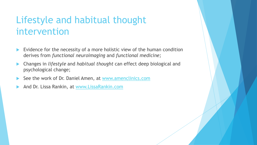# Lifestyle and habitual thought intervention

- Evidence for the necessity of a more holistic view of the human condition derives from *functional neuroimaging* and *functional medicine;*
- Changes in *lifestyle* and *habitual thought* can effect deep biological and psychological change;
- See the work of Dr. Daniel Amen, at [www.amenclinics.com](http://www.amenclinics.com/)
- And Dr. Lissa Rankin, at [www.LissaRankin.com](http://www.lissarankin.com/)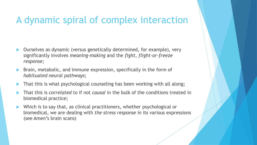### A dynamic spiral of complex interaction

- Ourselves as dynamic (versus genetically determined, for example), very significantly involves *meaning-making* and the *fight, flight-or-freeze response;*
- Brain, metabolic, and immune expression, specifically in the form of *habituated neural pathways*;
- That this is what psychological counseling has been working with all along;
- That this is *correlated* to if not *causal* in the bulk of the conditions treated in biomedical practice;
- Which is to say that, as clinical practitioners, whether psychological or biomedical, we are dealing with *the stress response* in its various expressions (see Amen's brain scans)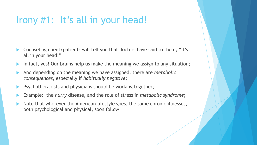## Irony #1: It's all in your head!

- Counseling client/patients will tell you that doctors have said to them, "it's all in your head!"
- In fact, yes! Our brains help us make the meaning we assign to any situation;
- And depending on the meaning we have assigned, there are *metabolic consequences*, especially if *habitually negative*;
- Psychotherapists and physicians should be working together;
- Example: the *hurry* disease, and the role of stress in *metabolic syndrome*;
- Note that wherever the American lifestyle goes, the same chronic illnesses, both psychological and physical, soon follow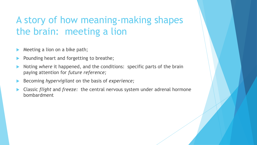# A story of how meaning-making shapes the brain: meeting a lion

- Meeting a lion on a bike path;
- Pounding heart and forgetting to breathe;
- Noting *where* it happened, and the conditions: specific parts of the brain paying attention for *future reference;*
- Becoming *hypervigilant* on the basis of *experience;*
- Classic *flight* and *freeze:* the central nervous system under adrenal hormone bombardment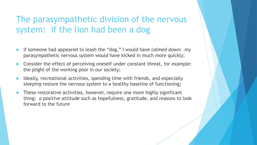#### The parasympathetic division of the nervous system: if the lion had been a dog

- If someone had appeared to leash the "dog," I would have *calmed down*: my parasympathetic nervous system would have kicked in much more quickly;
- Consider the effect of perceiving oneself under constant threat, for example: the plight of the working poor in our society;
- Ideally, recreational activities, spending time with friends, and especially *sleeping* restore the nervous system to a healthy baseline of functioning;
- These restorative activities, however, require one more highly significant thing: *a positive attitude* such as hopefulness, gratitude, and reasons to look forward to the future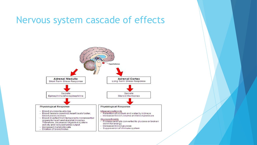#### Nervous system cascade of effects

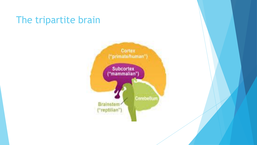#### The tripartite brain

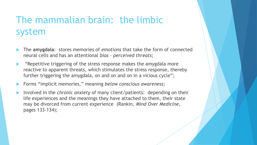# The mammalian brain: the limbic system

- The **amygdala**: stores memories of *emotions* that take the form of connected neural cells and has an attentional *bias – perceived threats;*
- "Repetitive triggering of the stress response makes the amygdala more reactive to apparent threats, which stimulates the stress response, thereby further triggering the amygdala, on and on and on in a vicious cycle";
- Forms "implicit memories," meaning *below conscious awareness*;
- Involved in the *chronic anxiety* of many client/patients: depending on their life experiences and the meanings they have attached to them, their state may be divorced from current experience (Rankin, *Mind Over Medicine*, pages 133-134);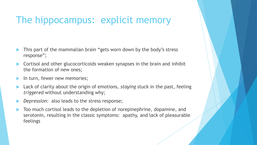# The hippocampus: explicit memory

- This part of the mammalian brain "gets worn down by the body's stress response";
- Cortisol and other glucocorticoids weaken synapses in the brain and inhibit the formation of new ones;
- In turn, fewer new memories;
- Lack of clarity about the origin of emotions, *staying* stuck in the past, feeling *triggered* without understanding why;
- *Depression*: also leads to the stress response;
- Too much cortisol leads to the depletion of norepinephrine, dopamine, and serotonin, resulting in the classic symptoms: apathy, and lack of pleasurable feelings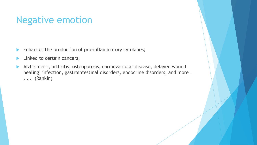### Negative emotion

- **Enhances the production of pro-inflammatory cytokines;**
- Linked to certain cancers;
- Alzheimer's, arthritis, osteoporosis, cardiovascular disease, delayed wound healing, infection, gastrointestinal disorders, endocrine disorders, and more . . . . (Rankin)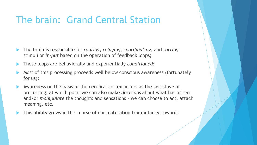# The brain: Grand Central Station

- The brain is responsible for *routing*, *relaying*, *coordinating*, and *sorting*  stimuli or *in-put* based on the operation of feedback loops;
- These loops are behaviorally and experientially *conditioned*;
- Most of this processing proceeds well below conscious awareness (fortunately for us);
- Awareness on the basis of the cerebral cortex occurs as the last stage of processing, at which point we can also make *decisions* about what has arisen and/or *manipulate* the thoughts and sensations – we can choose to act, attach meaning, etc.
- This ability grows in the course of our maturation from infancy onwards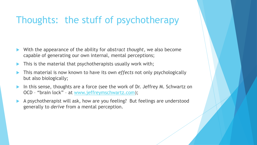# Thoughts: the stuff of psychotherapy

- With the appearance of the ability for *abstract thought*, we also become capable of generating our own internal, mental perceptions;
- This is the material that psychotherapists usually work with;
- This material is now known to have its own *effects* not only psychologically but also biologically;
- In this sense, thoughts are a force (see the work of Dr. Jeffrey M. Schwartz on OCD – "brain lock" – at [www.jeffreymschwartz.com\)](http://www.jeffreymschwartz.com/);
- A psychotherapist will ask, how are you feeling? But feelings are understood generally to *derive* from a mental perception.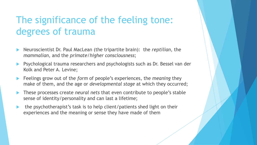# The significance of the feeling tone: degrees of trauma

- Neuroscientist Dr. Paul MacLean (the tripartite brain): the *reptilian*, the *mammalian*, and the *primate/higher consciousness*;
- Psychological trauma researchers and psychologists such as Dr. Bessel van der Kolk and Peter A. Levine;
- Feelings grow out of the *form* of people's experiences, the *meaning* they make of them, and the age or *developmental stage* at which they occurred;
- These processes create *neural nets* that even contribute to people's stable sense of identity/personality and can last a lifetime;
- the psychotherapist's task is to help client/patients shed light on their experiences and the meaning or sense they have made of them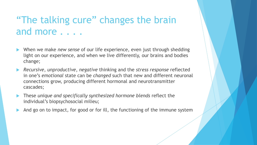# "The talking cure" changes the brain and more . . . .

- When we make *new sense* of our life experience, even just through shedding light on our experience, and when we live differently, our brains and bodies change;
- *Recursive*, *unproductive*, *negative* thinking and the *stress response* reflected in one's *emotional* state can be *changed* such that new and different neuronal connections grow, producing different hormonal and neurotransmitter cascades;
- These *unique and specifically synthesized hormone blends* reflect the individual's biopsychosocial milieu;
- And go on to impact, for good or for ill, the functioning of the immune system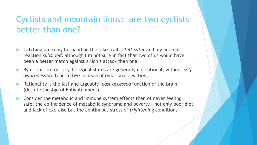#### Cyclists and mountain lions: are two cyclists better than one?

- Catching up to my husband on the bike trail, I *felt safer* and my adrenal reaction *subsided,* although I'm not sure in fact that two of us would have been a better match against a lion's attack than one!
- By definition, our psychological states are generally not rational; without *selfawareness* we tend to live in a sea of emotional *reaction*;
- Rationality is the last and arguably *least accessed* function of the brain (despite the Age of Enlightenment)!
- Consider the metabolic and immune system effects then of never feeling safe; the co-incidence of metabolic syndrome and poverty – not only poor diet and lack of exercise but the continuous stress of *frightening* conditions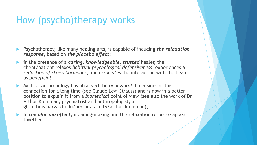# How (psycho)therapy works

- Psychotherapy, like many healing arts, is capable of inducing *the relaxation response*, based on *the placebo effect*:
- in the presence of a *caring*, *knowledgeable*, *trusted* healer, the client/patient relaxes *habitual psychological defensiveness*, experiences a *reduction of stress hormones*, and *associates* the interaction with the healer as *beneficial*;
- Medical anthropology has observed the *behavioral* dimensions of this connection for a long time (see Claude Levi-Strauss) and is now in a better position to explain it from a *biomedical* point of view (see also the work of Dr. Arthur Kleinman, psychiatrist and anthropologist, at ghsm.hms.harvard.edu/person/faculty/arthur-kleinman);
- In *the placebo effect*, meaning-making and the relaxation response appear together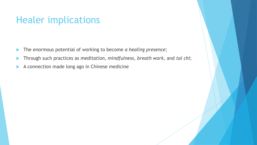#### Healer implications

- The enormous potential of working to become *a healing presence*;
- Through such practices as *meditation*, *mindfulness*, *breath work*, and *tai chi*;
- A connection made long ago in Chinese medicine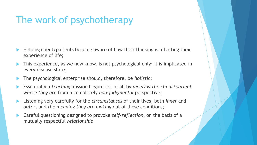# The work of psychotherapy

- Helping client/patients become aware of how their thinking is affecting their experience of life;
- This experience, as we now know, is not psychological only; it is implicated in every disease state;
- The psychological enterprise should, therefore, be *holistic*;
- Essentially a *teaching* mission begun first of all by *meeting the client/patient where they are* from a completely *non-judgmental* perspective;
- Listening very carefully for the *circumstances* of their lives, both *inner* and *outer*, and *the meaning they are making* out of those conditions;
- Careful questioning designed to provoke *self-reflection,* on the basis of a mutually respectful *relationship*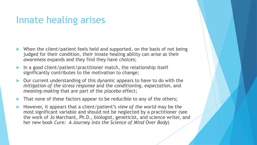### Innate healing arises

- When the client/patient feels held and supported, on the basis of not being judged for their condition, their innate healing ability can arise as their *awareness* expands and they find they have *choices*;
- In a good client/patient/practitioner match, the relationship itself significantly contributes to the motivation to change;
- Our current understanding of this dynamic appears to have to do with the *mitigation of the stress response* and the *conditioning*, *expectation*, and *meaning-making* that are part of the *placebo* effect;
- That none of these factors appear to be reducible to any of the others;
- However, it appears that a client/patient's *view of the world* may be the most significant variable and should not be neglected by a practitioner (see the work of Jo Marchant, Ph.D., biologist, geneticist, and science writer, and her new book *Cure: A Journey into the Science of Mind Over Body*)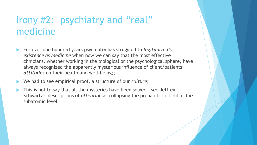# Irony #2: psychiatry and "real" medicine

- For over one hundred years psychiatry has struggled to *legitimize its existence as medicine* when now we can say that the most effective clinicians, whether working in the biological or the psychological sphere, have always recognized the apparently mysterious influence of client/patients' *attitudes* on their health and well-being;;
- We had to see empirical proof, a structure of our *culture*;
- This is not to say that all the mysteries have been solved see Jeffrey Schwartz's descriptions of *attention* as collapsing the probabilistic field at the subatomic level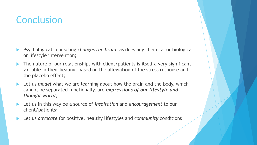## **Conclusion**

- Psychological counseling *changes the brain*, as does any chemical or biological or lifestyle intervention;
- ▶ The nature of our relationships with client/patients is itself a very significant variable in their healing, based on the alleviation of the stress response and the placebo effect;
- Let us *model* what we are learning about how the brain and the body, which cannot be separated functionally, are *expressions of our lifestyle and thought world*;
- Let us in this way be a source of *inspiration* and *encouragement* to our client/patients;
- Let us *advocate* for positive, healthy lifestyles and *community* conditions